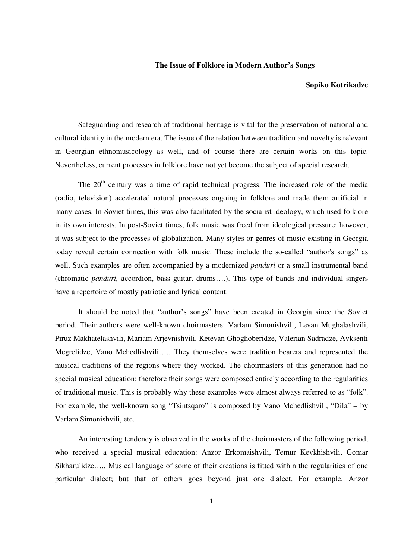### **The Issue of Folklore in Modern Author's Songs**

#### **Sopiko Kotrikadze**

Safeguarding and research of traditional heritage is vital for the preservation of national and cultural identity in the modern era. The issue of the relation between tradition and novelty is relevant in Georgian ethnomusicology as well, and of course there are certain works on this topic. Nevertheless, current processes in folklore have not yet become the subject of special research.

The 20<sup>th</sup> century was a time of rapid technical progress. The increased role of the media (radio, television) accelerated natural processes ongoing in folklore and made them artificial in many cases. In Soviet times, this was also facilitated by the socialist ideology, which used folklore in its own interests. In post-Soviet times, folk music was freed from ideological pressure; however, it was subject to the processes of globalization. Many styles or genres of music existing in Georgia today reveal certain connection with folk music. These include the so-called "author's songs" as well. Such examples are often accompanied by a modernized *panduri* or a small instrumental band (chromatic *panduri,* accordion, bass guitar, drums….). This type of bands and individual singers have a repertoire of mostly patriotic and lyrical content.

It should be noted that "author's songs" have been created in Georgia since the Soviet period. Their authors were well-known choirmasters: Varlam Simonishvili, Levan Mughalashvili, Piruz Makhatelashvili, Mariam Arjevnishvili, Ketevan Ghoghoberidze, Valerian Sadradze, Avksenti Megrelidze, Vano Mchedlishvili….. They themselves were tradition bearers and represented the musical traditions of the regions where they worked. The choirmasters of this generation had no special musical education; therefore their songs were composed entirely according to the regularities of traditional music. This is probably why these examples were almost always referred to as "folk". For example, the well-known song "Tsintsqaro" is composed by Vano Mchedlishvili, "Dila" – by Varlam Simonishvili, etc.

An interesting tendency is observed in the works of the choirmasters of the following period, who received a special musical education: Anzor Erkomaishvili, Temur Kevkhishvili, Gomar Sikharulidze….. Musical language of some of their creations is fitted within the regularities of one particular dialect; but that of others goes beyond just one dialect. For example, Anzor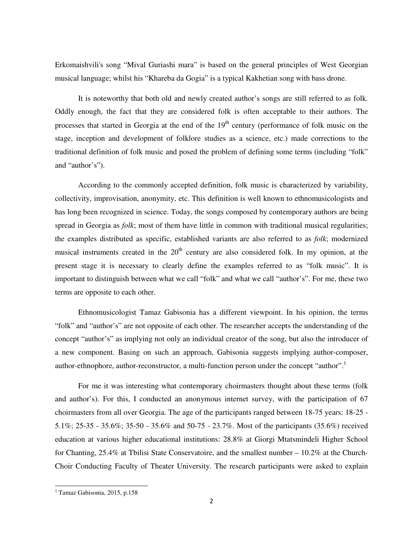Erkomaishvili's song "Mival Guriashi mara" is based on the general principles of West Georgian musical language; whilst his "Khareba da Gogia" is a typical Kakhetian song with bass drone.

It is noteworthy that both old and newly created author's songs are still referred to as folk. Oddly enough, the fact that they are considered folk is often acceptable to their authors. The processes that started in Georgia at the end of the  $19<sup>th</sup>$  century (performance of folk music on the stage, inception and development of folklore studies as a science, etc.) made corrections to the traditional definition of folk music and posed the problem of defining some terms (including "folk" and "author's").

According to the commonly accepted definition, folk music is characterized by variability, collectivity, improvisation, anonymity, etc. This definition is well known to ethnomusicologists and has long been recognized in science. Today, the songs composed by contemporary authors are being spread in Georgia as *folk*; most of them have little in common with traditional musical regularities; the examples distributed as specific, established variants are also referred to as *folk*; modernized musical instruments created in the  $20<sup>th</sup>$  century are also considered folk. In my opinion, at the present stage it is necessary to clearly define the examples referred to as "folk music". It is important to distinguish between what we call "folk" and what we call "author's". For me, these two terms are opposite to each other.

Ethnomusicologist Tamaz Gabisonia has a different viewpoint. In his opinion, the terms "folk" and "author's" are not opposite of each other. The researcher accepts the understanding of the concept "author's" as implying not only an individual creator of the song, but also the introducer of a new component. Basing on such an approach, Gabisonia suggests implying author-composer, author-ethnophore, author-reconstructor, a multi-function person under the concept "author".<sup>1</sup>

For me it was interesting what contemporary choirmasters thought about these terms (folk and author's). For this, I conducted an anonymous internet survey, with the participation of 67 choirmasters from all over Georgia. The age of the participants ranged between 18-75 years: 18-25 - 5.1%; 25-35 - 35.6%; 35-50 - 35.6% and 50-75 - 23.7%. Most of the participants (35.6%) received education at various higher educational institutions: 28.8% at Giorgi Mtatsmindeli Higher School for Chanting, 25.4% at Tbilisi State Conservatoire, and the smallest number – 10.2% at the Church-Choir Conducting Faculty of Theater University. The research participants were asked to explain

-

<sup>&</sup>lt;sup>1</sup> Tamaz Gabisonia, 2015, p.158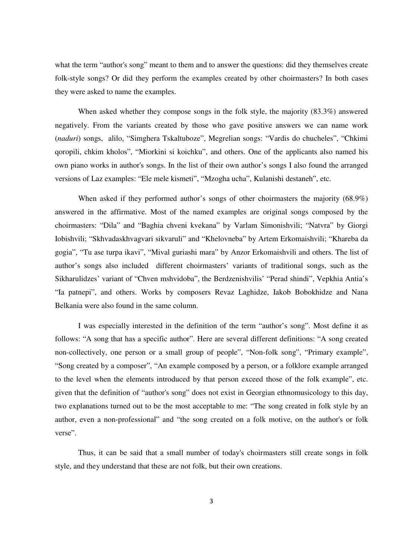what the term "author's song" meant to them and to answer the questions: did they themselves create folk-style songs? Or did they perform the examples created by other choirmasters? In both cases they were asked to name the examples.

When asked whether they compose songs in the folk style, the majority (83.3%) answered negatively. From the variants created by those who gave positive answers we can name work (*naduri*) songs, alilo, "Simghera Tskaltuboze", Megrelian songs: "Vardis do chucheles", "Chkimi qoropili, chkim kholos", "Miorkini si koichku", and others. One of the applicants also named his own piano works in author's songs. In the list of their own author's songs I also found the arranged versions of Laz examples: "Ele mele kismeti", "Mzogha ucha", Kulanishi destaneh", etc.

When asked if they performed author's songs of other choirmasters the majority (68.9%) answered in the affirmative. Most of the named examples are original songs composed by the choirmasters: "Dila" and "Baghia chveni kvekana" by Varlam Simonishvili; "Natvra" by Giorgi Iobishvili; "Skhvadaskhvagvari sikvaruli" and "Khelovneba" by Artem Erkomaishvili; "Khareba da gogia", "Tu ase turpa ikavi", "Mival guriashi mara" by Anzor Erkomaishvili and others. The list of author's songs also included different choirmasters' variants of traditional songs, such as the Sikharulidzes' variant of "Chven mshvidoba", the Berdzenishvilis' "Perad shindi", Vepkhia Antia's "Ia patnepi", and others. Works by composers Revaz Laghidze, Iakob Bobokhidze and Nana Belkania were also found in the same column.

I was especially interested in the definition of the term "author's song". Most define it as follows: "A song that has a specific author". Here are several different definitions: "A song created non-collectively, one person or a small group of people", "Non-folk song", "Primary example", "Song created by a composer", "An example composed by a person, or a folklore example arranged to the level when the elements introduced by that person exceed those of the folk example", etc. given that the definition of "author's song" does not exist in Georgian ethnomusicology to this day, two explanations turned out to be the most acceptable to me: "The song created in folk style by an author, even a non-professional" and "the song created on a folk motive, on the author's or folk verse".

Thus, it can be said that a small number of today's choirmasters still create songs in folk style, and they understand that these are not folk, but their own creations.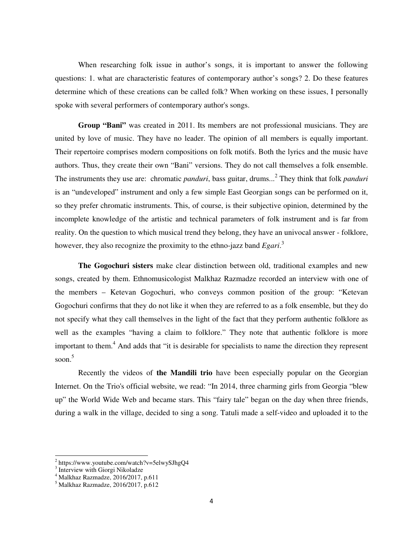When researching folk issue in author's songs, it is important to answer the following questions: 1. what are characteristic features of contemporary author's songs? 2. Do these features determine which of these creations can be called folk? When working on these issues, I personally spoke with several performers of contemporary author's songs.

**Group "Bani"** was created in 2011. Its members are not professional musicians. They are united by love of music. They have no leader. The opinion of all members is equally important. Their repertoire comprises modern compositions on folk motifs. Both the lyrics and the music have authors. Thus, they create their own "Bani" versions. They do not call themselves a folk ensemble. The instruments they use are: chromatic *panduri*, bass guitar, drums...<sup>2</sup> They think that folk *panduri* is an "undeveloped" instrument and only a few simple East Georgian songs can be performed on it, so they prefer chromatic instruments. This, of course, is their subjective opinion, determined by the incomplete knowledge of the artistic and technical parameters of folk instrument and is far from reality. On the question to which musical trend they belong, they have an univocal answer - folklore, however, they also recognize the proximity to the ethno-jazz band *Egari*. 3

**The Gogochuri sisters** make clear distinction between old, traditional examples and new songs, created by them. Ethnomusicologist Malkhaz Razmadze recorded an interview with one of the members – Ketevan Gogochuri, who conveys common position of the group: "Ketevan Gogochuri confirms that they do not like it when they are referred to as a folk ensemble, but they do not specify what they call themselves in the light of the fact that they perform authentic folklore as well as the examples "having a claim to folklore." They note that authentic folklore is more important to them.<sup>4</sup> And adds that "it is desirable for specialists to name the direction they represent soon. 5

 Recently the videos of **the Mandili trio** have been especially popular on the Georgian Internet. On the Trio's official website, we read: "In 2014, three charming girls from Georgia "blew up" the World Wide Web and became stars. This "fairy tale" began on the day when three friends, during a walk in the village, decided to sing a song. Tatuli made a self-video and uploaded it to the

<u>.</u>

<sup>&</sup>lt;sup>2</sup> https://www.youtube.com/watch?v=5elwySJhgQ4

<sup>&</sup>lt;sup>3</sup> Interview with Giorgi Nikoladze

<sup>4</sup> Malkhaz Razmadze, 2016/2017, p.611

<sup>5</sup> Malkhaz Razmadze, 2016/2017, p.612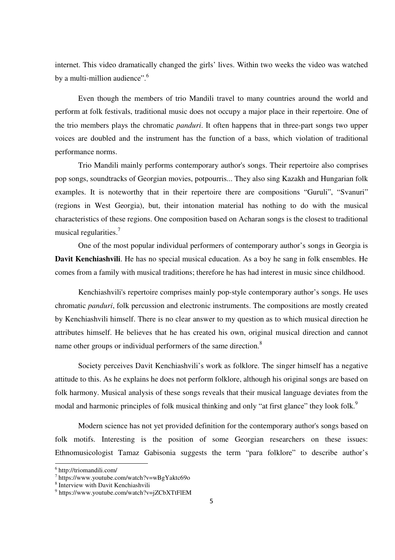internet. This video dramatically changed the girls' lives. Within two weeks the video was watched by a multi-million audience".<sup>6</sup>

Even though the members of trio Mandili travel to many countries around the world and perform at folk festivals, traditional music does not occupy a major place in their repertoire. One of the trio members plays the chromatic *panduri*. It often happens that in three-part songs two upper voices are doubled and the instrument has the function of a bass, which violation of traditional performance norms.

Trio Mandili mainly performs contemporary author's songs. Their repertoire also comprises pop songs, soundtracks of Georgian movies, potpourris... They also sing Kazakh and Hungarian folk examples. It is noteworthy that in their repertoire there are compositions "Guruli", "Svanuri" (regions in West Georgia), but, their intonation material has nothing to do with the musical characteristics of these regions. One composition based on Acharan songs is the closest to traditional musical regularities.<sup>7</sup>

One of the most popular individual performers of contemporary author's songs in Georgia is **Davit Kenchiashvili**. He has no special musical education. As a boy he sang in folk ensembles. He comes from a family with musical traditions; therefore he has had interest in music since childhood.

Kenchiashvili's repertoire comprises mainly pop-style contemporary author's songs. He uses chromatic *panduri*, folk percussion and electronic instruments. The compositions are mostly created by Kenchiashvili himself. There is no clear answer to my question as to which musical direction he attributes himself. He believes that he has created his own, original musical direction and cannot name other groups or individual performers of the same direction.<sup>8</sup>

Society perceives Davit Kenchiashvili's work as folklore. The singer himself has a negative attitude to this. As he explains he does not perform folklore, although his original songs are based on folk harmony. Musical analysis of these songs reveals that their musical language deviates from the modal and harmonic principles of folk musical thinking and only "at first glance" they look folk.<sup>9</sup>

Modern science has not yet provided definition for the contemporary author's songs based on folk motifs. Interesting is the position of some Georgian researchers on these issues: Ethnomusicologist Tamaz Gabisonia suggests the term "para folklore" to describe author's

 6 http://triomandili.com/

<sup>7</sup> https://www.youtube.com/watch?v=wBgYaktc69o

<sup>8</sup> Interview with Davit Kenchiashvili

<sup>&</sup>lt;sup>9</sup> https://www.youtube.com/watch?v=jZCbXTtFlEM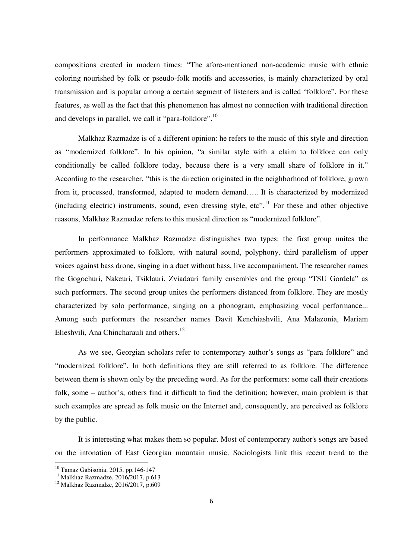compositions created in modern times: "The afore-mentioned non-academic music with ethnic coloring nourished by folk or pseudo-folk motifs and accessories, is mainly characterized by oral transmission and is popular among a certain segment of listeners and is called "folklore". For these features, as well as the fact that this phenomenon has almost no connection with traditional direction and develops in parallel, we call it "para-folklore".<sup>10</sup>

Malkhaz Razmadze is of a different opinion: he refers to the music of this style and direction as "modernized folklore". In his opinion, "a similar style with a claim to folklore can only conditionally be called folklore today, because there is a very small share of folklore in it." According to the researcher, "this is the direction originated in the neighborhood of folklore, grown from it, processed, transformed, adapted to modern demand….. It is characterized by modernized (including electric) instruments, sound, even dressing style, etc".<sup>11</sup> For these and other objective reasons, Malkhaz Razmadze refers to this musical direction as "modernized folklore".

In performance Malkhaz Razmadze distinguishes two types: the first group unites the performers approximated to folklore, with natural sound, polyphony, third parallelism of upper voices against bass drone, singing in a duet without bass, live accompaniment. The researcher names the Gogochuri, Nakeuri, Tsiklauri, Zviadauri family ensembles and the group "TSU Gordela" as such performers. The second group unites the performers distanced from folklore. They are mostly characterized by solo performance, singing on a phonogram, emphasizing vocal performance... Among such performers the researcher names Davit Kenchiashvili, Ana Malazonia, Mariam Elieshvili, Ana Chincharauli and others.<sup>12</sup>

As we see, Georgian scholars refer to contemporary author's songs as "para folklore" and "modernized folklore". In both definitions they are still referred to as folklore. The difference between them is shown only by the preceding word. As for the performers: some call their creations folk, some – author's, others find it difficult to find the definition; however, main problem is that such examples are spread as folk music on the Internet and, consequently, are perceived as folklore by the public.

It is interesting what makes them so popular. Most of contemporary author's songs are based on the intonation of East Georgian mountain music. Sociologists link this recent trend to the

<u>.</u>

 $10$  Tamaz Gabisonia, 2015, pp.146-147

 $11$  Malkhaz Razmadze, 2016/2017, p.613

<sup>12</sup> Malkhaz Razmadze, 2016/2017, p.609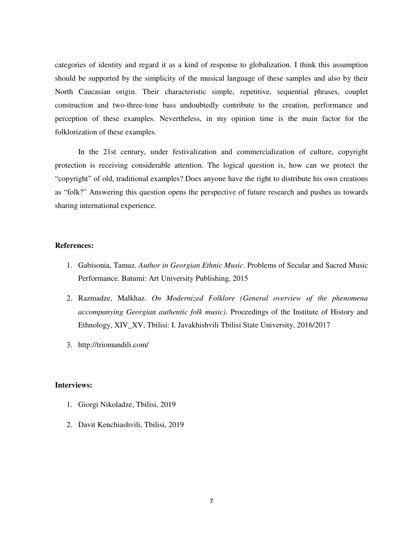categories of identity and regard it as a kind of response to globalization. I think this assumption should be supported by the simplicity of the musical language of these samples and also by their North Caucasian origin. Their characteristic simple, repetitive, sequential phrases, couplet construction and two-three-tone bass undoubtedly contribute to the creation, performance and perception of these examples. Nevertheless, in my opinion time is the main factor for the folklorization of these examples.

In the 21st century, under festivalization and commercialization of culture, copyright protection is receiving considerable attention. The logical question is, how can we protect the "copyright" of old, traditional examples? Does anyone have the right to distribute his own creations as "folk?" Answering this question opens the perspective of future research and pushes us towards sharing international experience.

## **References:**

- 1. Gabisonia, Tamaz. *Author in Georgian Ethnic Music*. Problems of Secular and Sacred Music Performance. Batumi: Art University Publishing, 2015
- 2. Razmadze, Malkhaz. *On Modernized Folklore (General overview of the phenomena accompanying Georgian authentic folk music)*. Proceedings of the Institute of History and Ethnology, XIV\_XV, Tbilisi: I. Javakhishvili Tbilisi State University, 2016/2017
- 3. http://triomandili.com/

## **Interviews:**

- 1. Giorgi Nikoladze, Tbilisi, 2019
- 2. Davit Kenchiashvili, Tbilisi, 2019